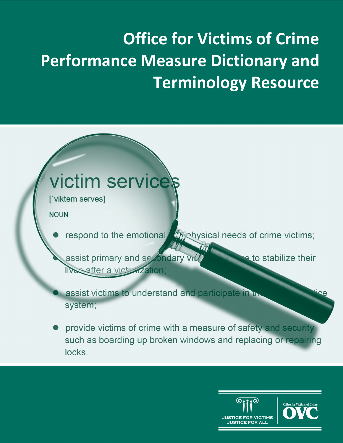# **Office for Victims of Crime Performance Measure Dictionary and Terminology Resource**

# victim services

['viktem serves]

**NOUN** 

bhoby interests of crime victims; respond to the emotional

assist primary and secondary vid e to stabilize their live after a viction zation;

 $\eta_{\rm m}$ 

assist victims to understand and participate in the system;

provide victims of crime with a measure of safety and security such as boarding up broken windows and replacing or repairing locks.

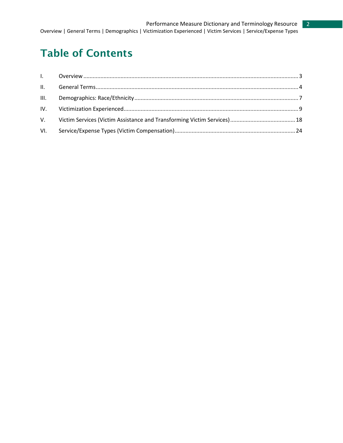# Table of Contents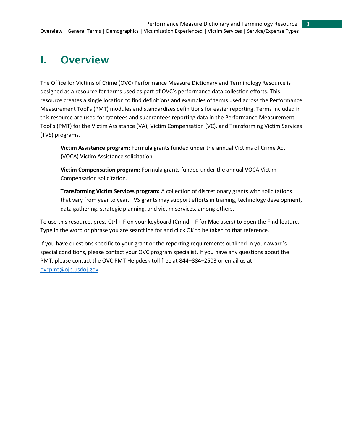# <span id="page-2-0"></span>I. Overview

The Office for Victims of Crime (OVC) Performance Measure Dictionary and Terminology Resource is designed as a resource for terms used as part of OVC's performance data collection efforts. This resource creates a single location to find definitions and examples of terms used across the Performance Measurement Tool's (PMT) modules and standardizes definitions for easier reporting. Terms included in this resource are used for grantees and subgrantees reporting data in the Performance Measurement Tool's (PMT) for the Victim Assistance (VA), Victim Compensation (VC), and Transforming Victim Services (TVS) programs.

**Victim Assistance program:** Formula grants funded under the annual Victims of Crime Act (VOCA) Victim Assistance solicitation.

**Victim Compensation program:** Formula grants funded under the annual VOCA Victim Compensation solicitation.

**Transforming Victim Services program:** A collection of discretionary grants with solicitations that vary from year to year. TVS grants may support efforts in training, technology development, data gathering, strategic planning, and victim services, among others.

To use this resource, press Ctrl + F on your keyboard (Cmnd + F for Mac users) to open the Find feature. Type in the word or phrase you are searching for and click OK to be taken to that reference.

If you have questions specific to your grant or the reporting requirements outlined in your award's special conditions, please contact your OVC program specialist. If you have any questions about the PMT, please contact the OVC PMT Helpdesk toll free at 844–884–2503 or email us at ovcpmt@ojp.usdoj.gov.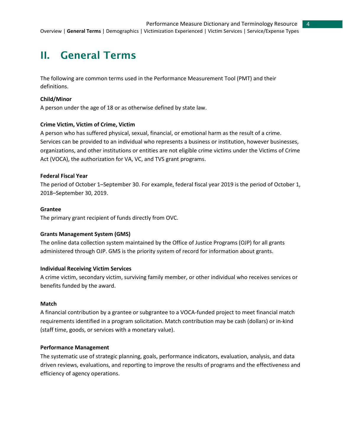# <span id="page-3-0"></span>II. General Terms

The following are common terms used in the Performance Measurement Tool (PMT) and their definitions.

#### **Child/Minor**

A person under the age of 18 or as otherwise defined by state law.

#### **Crime Victim, Victim of Crime, Victim**

A person who has suffered physical, sexual, financial, or emotional harm as the result of a crime. Services can be provided to an individual who represents a business or institution, however businesses, organizations, and other institutions or entities are not eligible crime victims under the Victims of Crime Act (VOCA), the authorization for VA, VC, and TVS grant programs.

#### **Federal Fiscal Year**

The period of October 1–September 30. For example, federal fiscal year 2019 is the period of October 1, 2018–September 30, 2019.

#### **Grantee**

The primary grant recipient of funds directly from OVC.

#### **Grants Management System (GMS)**

The online data collection system maintained by the Office of Justice Programs (OJP) for all grants administered through OJP. GMS is the priority system of record for information about grants.

#### **Individual Receiving Victim Services**

A crime victim, secondary victim, surviving family member, or other individual who receives services or benefits funded by the award.

#### **Match**

A financial contribution by a grantee or subgrantee to a VOCA-funded project to meet financial match requirements identified in a program solicitation. Match contribution may be cash (dollars) or in-kind (staff time, goods, or services with a monetary value).

#### **Performance Management**

The systematic use of strategic planning, goals, performance indicators, evaluation, analysis, and data driven reviews, evaluations, and reporting to improve the results of programs and the effectiveness and efficiency of agency operations.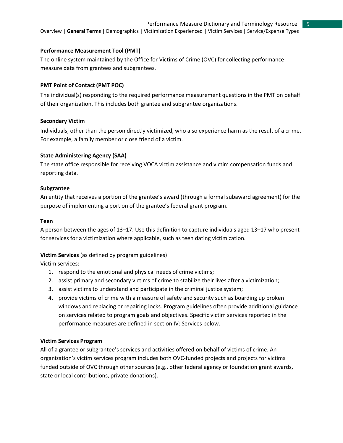# Performance Measure Dictionary and Terminology Resource

Overview | **General Terms** | Demographics | Victimization Experienced | Victim Services | Service/Expense Types

#### **Performance Measurement Tool (PMT)**

The online system maintained by the Office for Victims of Crime (OVC) for collecting performance measure data from grantees and subgrantees.

#### **PMT Point of Contact (PMT POC)**

The individual(s) responding to the required performance measurement questions in the PMT on behalf of their organization. This includes both grantee and subgrantee organizations.

#### **Secondary Victim**

Individuals, other than the person directly victimized, who also experience harm as the result of a crime. For example, a family member or close friend of a victim.

#### **State Administering Agency (SAA)**

The state office responsible for receiving VOCA victim assistance and victim compensation funds and reporting data.

#### **Subgrantee**

An entity that receives a portion of the grantee's award (through a formal subaward agreement) for the purpose of implementing a portion of the grantee's federal grant program.

#### **Teen**

A person between the ages of 13–17. Use this definition to capture individuals aged 13–17 who present for services for a victimization where applicable, such as teen dating victimization.

# **Victim Services** (as defined by program guidelines)

Victim services:

- 1. respond to the emotional and physical needs of crime victims;
- 2. assist primary and secondary victims of crime to stabilize their lives after a victimization;
- 3. assist victims to understand and participate in the criminal justice system;
- 4. provide victims of crime with a measure of safety and security such as boarding up broken windows and replacing or repairing locks. Program guidelines often provide additional guidance on services related to program goals and objectives. Specific victim services reported in the performance measures are defined in section IV: Services below.

#### **Victim Services Program**

All of a grantee or subgrantee's services and activities offered on behalf of victims of crime. An organization's victim services program includes both OVC-funded projects and projects for victims funded outside of OVC through other sources (e.g., other federal agency or foundation grant awards, state or local contributions, private donations).

5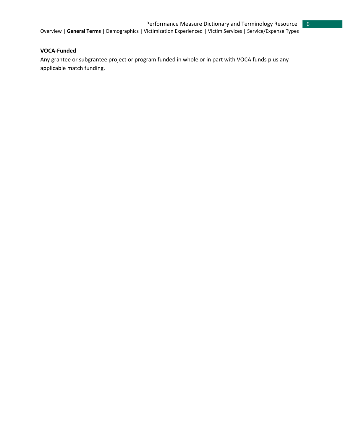#### **VOCA-Funded**

Any grantee or subgrantee project or program funded in whole or in part with VOCA funds plus any applicable match funding.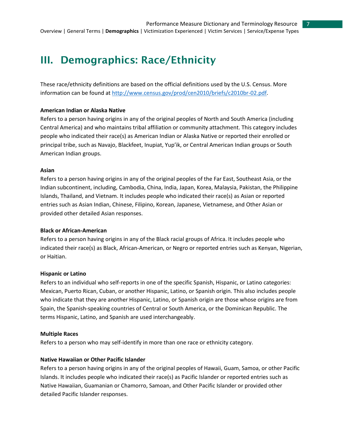# <span id="page-6-0"></span>III. Demographics: Race/Ethnicity

These race/ethnicity definitions are based on the official definitions used by the U.S. Census. More information can be found at http://www.census.gov/prod/cen2010/briefs/c2010br-02.pdf.

#### **American Indian or Alaska Native**

Refers to a person having origins in any of the original peoples of North and South America (including Central America) and who maintains tribal affiliation or community attachment. This category includes people who indicated their race(s) as American Indian or Alaska Native or reported their enrolled or principal tribe, such as Navajo, Blackfeet, Inupiat, Yup'ik, or Central American Indian groups or South American Indian groups.

#### **Asian**

Refers to a person having origins in any of the original peoples of the Far East, Southeast Asia, or the Indian subcontinent, including, Cambodia, China, India, Japan, Korea, Malaysia, Pakistan, the Philippine Islands, Thailand, and Vietnam. It includes people who indicated their race(s) as Asian or reported entries such as Asian Indian, Chinese, Filipino, Korean, Japanese, Vietnamese, and Other Asian or provided other detailed Asian responses.

#### **Black or African-American**

Refers to a person having origins in any of the Black racial groups of Africa. It includes people who indicated their race(s) as Black, African-American, or Negro or reported entries such as Kenyan, Nigerian, or Haitian.

#### **Hispanic or Latino**

Refers to an individual who self-reports in one of the specific Spanish, Hispanic, or Latino categories: Mexican, Puerto Rican, Cuban, or another Hispanic, Latino, or Spanish origin. This also includes people who indicate that they are another Hispanic, Latino, or Spanish origin are those whose origins are from Spain, the Spanish-speaking countries of Central or South America, or the Dominican Republic. The terms Hispanic, Latino, and Spanish are used interchangeably.

#### **Multiple Races**

Refers to a person who may self-identify in more than one race or ethnicity category.

#### **Native Hawaiian or Other Pacific Islander**

Refers to a person having origins in any of the original peoples of Hawaii, Guam, Samoa, or other Pacific Islands. It includes people who indicated their race(s) as Pacific Islander or reported entries such as Native Hawaiian, Guamanian or Chamorro, Samoan, and Other Pacific Islander or provided other detailed Pacific Islander responses.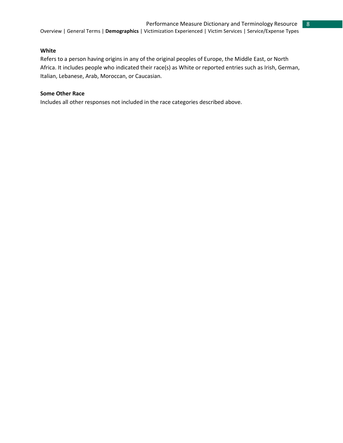8

#### **White**

Refers to a person having origins in any of the original peoples of Europe, the Middle East, or North Africa. It includes people who indicated their race(s) as White or reported entries such as Irish, German, Italian, Lebanese, Arab, Moroccan, or Caucasian.

# **Some Other Race**

Includes all other responses not included in the race categories described above.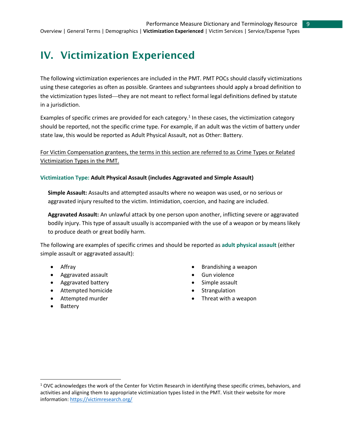# <span id="page-8-0"></span>IV. Victimization Experienced

The following victimization experiences are included in the PMT. PMT POCs should classify victimizations using these categories as often as possible. Grantees and subgrantees should apply a broad definition to the victimization types listed—they are not meant to reflect formal legal definitions defined by statute in a jurisdiction.

Examples of specific crimes are provided for each category.<sup>1</sup> In these cases, the victimization category should be reported, not the specific crime type. For example, if an adult was the victim of battery under state law, this would be reported as Adult Physical Assault, not as Other: Battery.

For Victim Compensation grantees, the terms in this section are referred to as Crime Types or Related Victimization Types in the PMT.

#### **Victimization Type: Adult Physical Assault (includes Aggravated and Simple Assault)**

**Simple Assault:** Assaults and attempted assaults where no weapon was used, or no serious or aggravated injury resulted to the victim. Intimidation, coercion, and hazing are included.

**Aggravated Assault:** An unlawful attack by one person upon another, inflicting severe or aggravated bodily injury. This type of assault usually is accompanied with the use of a weapon or by means likely to produce death or great bodily harm.

The following are examples of specific crimes and should be reported as **adult physical assault** (either simple assault or aggravated assault):

- Affray
- Aggravated assault
- Aggravated battery
- Attempted homicide
- Attempted murder
- Brandishing a weapon Gun violence
- 
- Simple assault
- **Strangulation**
- Threat with a weapon

• Battery

 $\overline{a}$ 

<sup>&</sup>lt;sup>1</sup> OVC acknowledges the work of the Center for Victim Research in identifying these specific crimes, behaviors, and activities and aligning them to appropriate victimization types listed in the PMT. Visit their website for more information: https://victimresearch.org/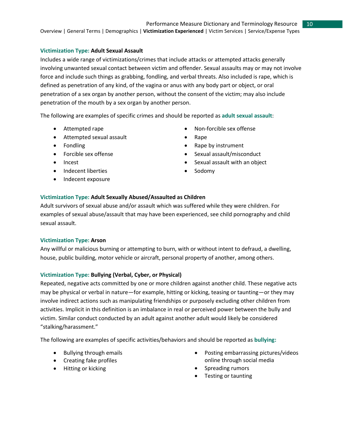## **Victimization Type: Adult Sexual Assault**

Includes a wide range of victimizations/crimes that include attacks or attempted attacks generally involving unwanted sexual contact between victim and offender. Sexual assaults may or may not involve force and include such things as grabbing, fondling, and verbal threats. Also included is rape, which is defined as penetration of any kind, of the vagina or anus with any body part or object, or oral penetration of a sex organ by another person, without the consent of the victim; may also include penetration of the mouth by a sex organ by another person.

The following are examples of specific crimes and should be reported as **adult sexual assault**:

- 
- Attempted sexual assault Rape
- 
- 
- 
- Indecent liberties Sodomy
- Indecent exposure
- Attempted rape  **Non-forcible sex offense**

10

- 
- Fondling **•** Rape by instrument
- Forcible sex offense **•** Sexual assault/misconduct
- Incest Incest Sexual assault with an object
	-

# **Victimization Type: Adult Sexually Abused/Assaulted as Children**

Adult survivors of sexual abuse and/or assault which was suffered while they were children. For examples of sexual abuse/assault that may have been experienced, see child pornography and child sexual assault.

#### **Victimization Type: Arson**

Any willful or malicious burning or attempting to burn, with or without intent to defraud, a dwelling, house, public building, motor vehicle or aircraft, personal property of another, among others.

# **Victimization Type: Bullying (Verbal, Cyber, or Physical)**

Repeated, negative acts committed by one or more children against another child. These negative acts may be physical or verbal in nature—for example, hitting or kicking, teasing or taunting—or they may involve indirect actions such as manipulating friendships or purposely excluding other children from activities. Implicit in this definition is an imbalance in real or perceived power between the bully and victim. Similar conduct conducted by an adult against another adult would likely be considered "stalking/harassment."

The following are examples of specific activities/behaviors and should be reported as **bullying:**

- Bullying through emails
- Creating fake profiles
- Hitting or kicking
- Posting embarrassing pictures/videos online through social media
- Spreading rumors
- Testing or taunting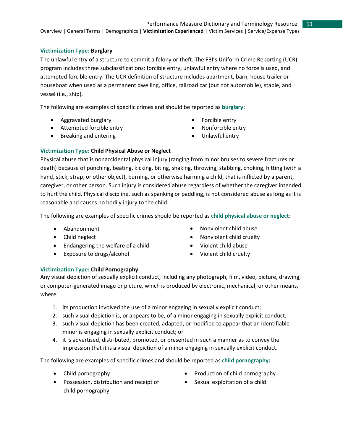# **Victimization Type: Burglary**

The unlawful entry of a structure to commit a felony or theft. The FBI's Uniform Crime Reporting (UCR) program includes three subclassifications: forcible entry, unlawful entry where no force is used, and attempted forcible entry. The UCR definition of structure includes apartment, barn, house trailer or houseboat when used as a permanent dwelling, office, railroad car (but not automobile), stable, and vessel (i.e., ship).

The following are examples of specific crimes and should be reported as **burglary:** 

- Aggravated burglary
- Attempted forcible entry
- Breaking and entering
- Forcible entry
- Nonforcible entry
- Unlawful entry

# **Victimization Type: Child Physical Abuse or Neglect**

Physical abuse that is nonaccidental physical injury (ranging from minor bruises to severe fractures or death) because of punching, beating, kicking, biting, shaking, throwing, stabbing, choking, hitting (with a hand, stick, strap, or other object), burning, or otherwise harming a child, that is inflicted by a parent, caregiver, or other person. Such injury is considered abuse regardless of whether the caregiver intended to hurt the child. Physical discipline, such as spanking or paddling, is not considered abuse as long as it is reasonable and causes no bodily injury to the child.

The following are examples of specific crimes should be reported as **child physical abuse or neglect**:

- 
- 
- Endangering the welfare of a child **•** Violent child abuse
- Exposure to drugs/alcohol Violent child cruelty
- Abandonment Nonviolent child abuse
- Child neglect Child neglect Nonviolent child cruelty
	-
	-

# **Victimization Type: Child Pornography**

Any visual depiction of sexually explicit conduct, including any photograph, film, video, picture, drawing, or computer-generated image or picture, which is produced by electronic, mechanical, or other means, where:

- 1. its production involved the use of a minor engaging in sexually explicit conduct;
- 2. such visual depiction is, or appears to be, of a minor engaging in sexually explicit conduct;
- 3. such visual depiction has been created, adapted, or modified to appear that an identifiable minor is engaging in sexually explicit conduct; or
- 4. it is advertised, distributed, promoted, or presented in such a manner as to convey the impression that it is a visual depiction of a minor engaging in sexually explicit conduct.

The following are examples of specific crimes and should be reported as **child pornography:**

- 
- Possession, distribution and receipt of **•** Sexual exploitation of a child child pornography
- Child pornography **•** Production of child pornography
	-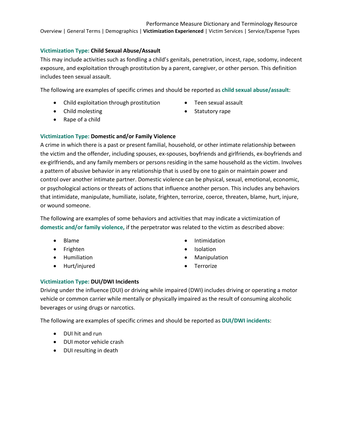# **Victimization Type: Child Sexual Abuse/Assault**

This may include activities such as fondling a child's genitals, penetration, incest, rape, sodomy, indecent exposure, and exploitation through prostitution by a parent, caregiver, or other person. This definition includes teen sexual assault.

The following are examples of specific crimes and should be reported as **child sexual abuse/assault**:

- Child exploitation through prostitution Teen sexual assault
- Child molesting extension of the Statutory rape
- -

• Rape of a child

# **Victimization Type: Domestic and/or Family Violence**

A crime in which there is a past or present familial, household, or other intimate relationship between the victim and the offender, including spouses, ex-spouses, boyfriends and girlfriends, ex-boyfriends and ex-girlfriends, and any family members or persons residing in the same household as the victim. Involves a pattern of abusive behavior in any relationship that is used by one to gain or maintain power and control over another intimate partner. Domestic violence can be physical, sexual, emotional, economic, or psychological actions or threats of actions that influence another person. This includes any behaviors that intimidate, manipulate, humiliate, isolate, frighten, terrorize, coerce, threaten, blame, hurt, injure, or wound someone.

The following are examples of some behaviors and activities that may indicate a victimization of **domestic and/or family violence,** if the perpetrator was related to the victim as described above:

- 
- 
- 
- Hurt/injured Terrorize
- Blame **•** Intimidation
- Frighten Isolation
- Humiliation Manipulation
	-

# **Victimization Type: DUI/DWI Incidents**

Driving under the influence (DUI) or driving while impaired (DWI) includes driving or operating a motor vehicle or common carrier while mentally or physically impaired as the result of consuming alcoholic beverages or using drugs or narcotics.

The following are examples of specific crimes and should be reported as **DUI/DWI incidents**:

- DUI hit and run
- DUI motor vehicle crash
- DUI resulting in death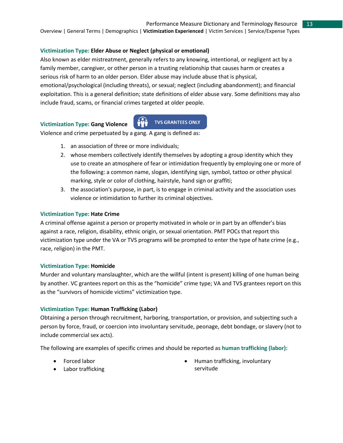#### Performance Measure Dictionary and Terminology Resource 13

Overview | General Terms | Demographics | **Victimization Experienced** | Victim Services | Service/Expense Types

## **Victimization Type: Elder Abuse or Neglect (physical or emotional)**

Also known as elder mistreatment, generally refers to any knowing, intentional, or negligent act by a family member, caregiver, or other person in a trusting relationship that causes harm or creates a serious risk of harm to an older person. Elder abuse may include abuse that is physical, emotional/psychological (including threats), or sexual; neglect (including abandonment); and financial exploitation. This is a general definition; state definitions of elder abuse vary. Some definitions may also include fraud, scams, or financial crimes targeted at older people.

# **Victimization Type: Gang Violence**



Violence and crime perpetuated by a gang. A gang is defined as:

- 1. an association of three or more individuals;
- 2. whose members collectively identify themselves by adopting a group identity which they use to create an atmosphere of fear or intimidation frequently by employing one or more of the following: a common name, slogan, identifying sign, symbol, tattoo or other physical marking, style or color of clothing, hairstyle, hand sign or graffiti;
- 3. the association's purpose, in part, is to engage in criminal activity and the association uses violence or intimidation to further its criminal objectives.

#### **Victimization Type: Hate Crime**

A criminal offense against a person or property motivated in whole or in part by an offender's bias against a race, religion, disability, ethnic origin, or sexual orientation. PMT POCs that report this victimization type under the VA or TVS programs will be prompted to enter the type of hate crime (e.g., race, religion) in the PMT.

#### **Victimization Type: Homicide**

Murder and voluntary manslaughter, which are the willful (intent is present) killing of one human being by another. VC grantees report on this as the "homicide" crime type; VA and TVS grantees report on this as the "survivors of homicide victims" victimization type.

#### **Victimization Type: Human Trafficking (Labor)**

Obtaining a person through recruitment, harboring, transportation, or provision, and subjecting such a person by force, fraud, or coercion into involuntary servitude, peonage, debt bondage, or slavery (not to include commercial sex acts).

The following are examples of specific crimes and should be reported as **human trafficking (labor):**

- Forced labor
- Labor trafficking

• Human trafficking, involuntary servitude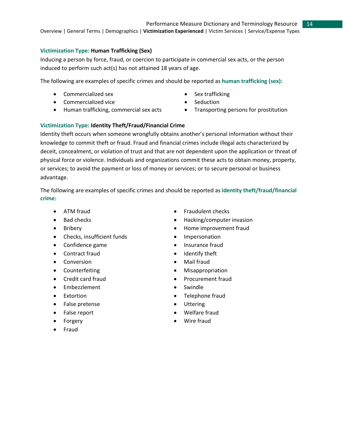# **Victimization Type: Human Trafficking (Sex)**

Inducing a person by force, fraud, or coercion to participate in commercial sex acts, or the person induced to perform such act(s) has not attained 18 years of age.

The following are examples of specific crimes and should be reported as **human trafficking (sex):**

- Commercialized sex Sex trafficking
- Commercialized vice **•** Seduction
- Human trafficking, commercial sex acts Transporting persons for prostitution
- 
- 
- 

# **Victimization Type: Identity Theft/Fraud/Financial Crime**

Identity theft occurs when someone wrongfully obtains another's personal information without their knowledge to commit theft or fraud. Fraud and financial crimes include illegal acts characterized by deceit, concealment, or violation of trust and that are not dependent upon the application or threat of physical force or violence. Individuals and organizations commit these acts to obtain money, property, or services; to avoid the payment or loss of money or services; or to secure personal or business advantage.

The following are examples of specific crimes and should be reported as **identity theft/fraud/financial crime:** 

- 
- 
- 
- Checks, insufficient funds Impersonation
- Confidence game **•** Insurance fraud
- Contract fraud **•** Identify theft
- Conversion Mail fraud
- 
- 
- Embezzlement Swindle
- 
- False pretense Uttering
- 
- 
- Fraud
- ATM fraud **•** Fraudulent checks
- Bad checks  **Hacking/computer invasion**
- Bribery Home improvement fraud
	-
	-
	-
	-
- Counterfeiting **•** Misappropriation
- Credit card fraud **•** Procurement fraud
	-
- Extortion Telephone fraud
	-
	- **False report •** Welfare fraud
	- Forgery **•** Wire fraud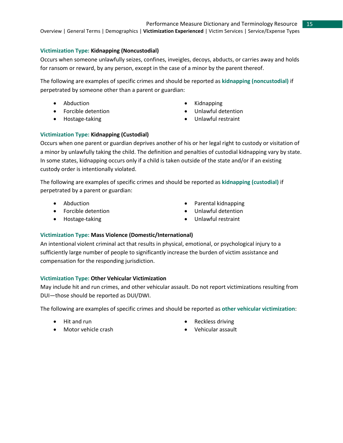# **Victimization Type: Kidnapping (Noncustodial)**

Occurs when someone unlawfully seizes, confines, inveigles, decoys, abducts, or carries away and holds for ransom or reward, by any person, except in the case of a minor by the parent thereof.

The following are examples of specific crimes and should be reported as **kidnapping (noncustodial)** if perpetrated by someone other than a parent or guardian:

- 
- Forcible detention **•** Unlawful detention
- 
- Abduction  **Kidnapping** 
	-
- Hostage-taking Unlawful restraint

# **Victimization Type: Kidnapping (Custodial)**

Occurs when one parent or guardian deprives another of his or her legal right to custody or visitation of a minor by unlawfully taking the child. The definition and penalties of custodial kidnapping vary by state. In some states, kidnapping occurs only if a child is taken outside of the state and/or if an existing custody order is intentionally violated.

The following are examples of specific crimes and should be reported as **kidnapping (custodial)** if perpetrated by a parent or guardian:

- 
- 
- 
- Abduction Parental kidnapping
- Forcible detention **•** Unlawful detention
- Hostage-taking Unlawful restraint

# **Victimization Type: Mass Violence (Domestic/International)**

An intentional violent criminal act that results in physical, emotional, or psychological injury to a sufficiently large number of people to significantly increase the burden of victim assistance and compensation for the responding jurisdiction.

# **Victimization Type: Other Vehicular Victimization**

May include hit and run crimes, and other vehicular assault. Do not report victimizations resulting from DUI—those should be reported as DUI/DWI.

The following are examples of specific crimes and should be reported as **other vehicular victimization**:

- 
- Motor vehicle crash Vehicular assault
- Hit and run  **Reckless driving** 
	-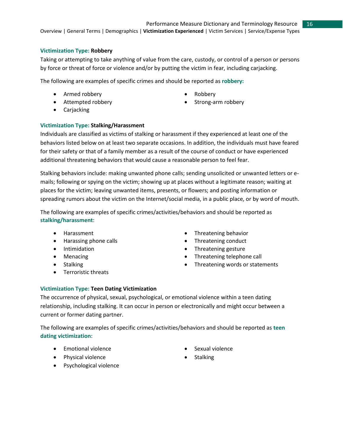# **Victimization Type: Robbery**

Taking or attempting to take anything of value from the care, custody, or control of a person or persons by force or threat of force or violence and/or by putting the victim in fear, including carjacking.

The following are examples of specific crimes and should be reported as **robbery:**

- Armed robbery  **Robbery**
- 
- 
- Attempted robbery  **Strong-arm robbery**
- Carjacking

# **Victimization Type: Stalking/Harassment**

Individuals are classified as victims of stalking or harassment if they experienced at least one of the behaviors listed below on at least two separate occasions. In addition, the individuals must have feared for their safety or that of a family member as a result of the course of conduct or have experienced additional threatening behaviors that would cause a reasonable person to feel fear.

Stalking behaviors include: making unwanted phone calls; sending unsolicited or unwanted letters or emails; following or spying on the victim; showing up at places without a legitimate reason; waiting at places for the victim; leaving unwanted items, presents, or flowers; and posting information or spreading rumors about the victim on the Internet/social media, in a public place, or by word of mouth.

The following are examples of specific crimes/activities/behaviors and should be reported as **stalking/harassment**:

- 
- Harassing phone calls **•** Threatening conduct
- 
- 
- 
- Terroristic threats
- Harassment Threatening behavior
	-
- Intimidation Threatening gesture
- Menacing  **Threatening telephone call**
- Stalking Stalking  **Threatening words or statements**

# **Victimization Type: Teen Dating Victimization**

The occurrence of physical, sexual, psychological, or emotional violence within a teen dating relationship, including stalking. It can occur in person or electronically and might occur between a current or former dating partner.

The following are examples of specific crimes/activities/behaviors and should be reported as **teen dating victimization**:

- Emotional violence Sexual violence
- Physical violence **•** Stalking
- -

• Psychological violence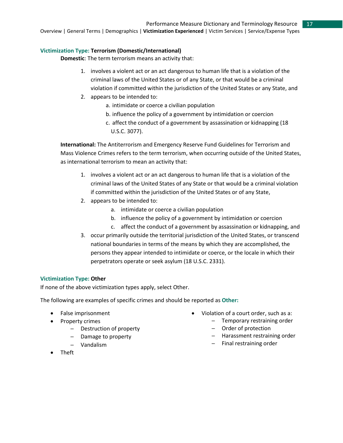# Performance Measure Dictionary and Terminology Resource

17

Overview | General Terms | Demographics | **Victimization Experienced** | Victim Services | Service/Expense Types

# **Victimization Type: Terrorism (Domestic/International)**

**Domestic**: The term terrorism means an activity that:

- 1. involves a violent act or an act dangerous to human life that is a violation of the criminal laws of the United States or of any State, or that would be a criminal violation if committed within the jurisdiction of the United States or any State, and
- 2. appears to be intended to:
	- a. intimidate or coerce a civilian population
	- b. influence the policy of a government by intimidation or coercion
	- c. affect the conduct of a government by assassination or kidnapping (18 U.S.C. 3077).

**International:** The Antiterrorism and Emergency Reserve Fund Guidelines for Terrorism and Mass Violence Crimes refers to the term terrorism, when occurring outside of the United States, as international terrorism to mean an activity that:

- 1. involves a violent act or an act dangerous to human life that is a violation of the criminal laws of the United States of any State or that would be a criminal violation if committed within the jurisdiction of the United States or of any State,
- 2. appears to be intended to:
	- a. intimidate or coerce a civilian population
	- b. influence the policy of a government by intimidation or coercion
	- c. affect the conduct of a government by assassination or kidnapping, and
- 3. occur primarily outside the territorial jurisdiction of the United States, or transcend national boundaries in terms of the means by which they are accomplished, the persons they appear intended to intimidate or coerce, or the locale in which their perpetrators operate or seek asylum (18 U.S.C. 2331).

# **Victimization Type: Other**

If none of the above victimization types apply, select Other.

The following are examples of specific crimes and should be reported as **Other:**

- False imprisonment
- Property crimes
	- ─ Destruction of property
	- ─ Damage to property
	- ─ Vandalism
- Theft
- Violation of a court order, such as a:
	- ─ Temporary restraining order
	- ─ Order of protection
	- ─ Harassment restraining order
	- ─ Final restraining order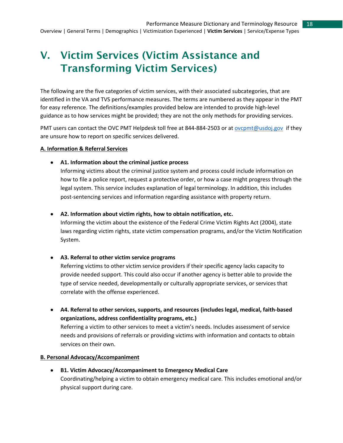# <span id="page-17-0"></span>V. Victim Services (Victim Assistance and Transforming Victim Services)

The following are the five categories of victim services, with their associated subcategories, that are identified in the VA and TVS performance measures. The terms are numbered as they appear in the PMT for easy reference. The definitions/examples provided below are intended to provide high-level guidance as to how services might be provided; they are not the only methods for providing services.

PMT users can contact the OVC PMT Helpdesk toll free at 844-884-2503 or at ovcpmt@usdoj.gov if they are unsure how to report on specific services delivered.

#### **A. Information & Referral Services**

• **A1. Information about the criminal justice process**

Informing victims about the criminal justice system and process could include information on how to file a police report, request a protective order, or how a case might progress through the legal system. This service includes explanation of legal terminology. In addition, this includes post-sentencing services and information regarding assistance with property return.

• **A2. Information about victim rights, how to obtain notification, etc.** 

Informing the victim about the existence of the Federal Crime Victim Rights Act (2004), state laws regarding victim rights, state victim compensation programs, and/or the Victim Notification System.

• **A3. Referral to other victim service programs**

Referring victims to other victim service providers if their specific agency lacks capacity to provide needed support. This could also occur if another agency is better able to provide the type of service needed, developmentally or culturally appropriate services, or services that correlate with the offense experienced.

• **A4. Referral to other services, supports, and resources (includes legal, medical, faith-based organizations, address confidentiality programs, etc.)**

Referring a victim to other services to meet a victim's needs. Includes assessment of service needs and provisions of referrals or providing victims with information and contacts to obtain services on their own.

#### **B. Personal Advocacy/Accompaniment**

• **B1. Victim Advocacy/Accompaniment to Emergency Medical Care** Coordinating/helping a victim to obtain emergency medical care. This includes emotional and/or physical support during care.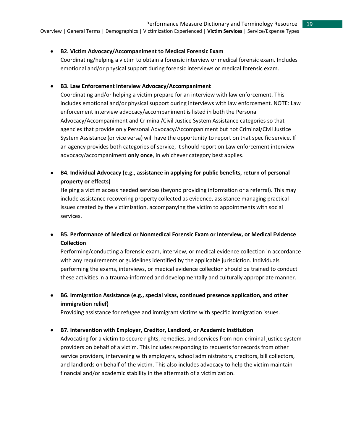#### • **B2. Victim Advocacy/Accompaniment to Medical Forensic Exam**

Coordinating/helping a victim to obtain a forensic interview or medical forensic exam. Includes emotional and/or physical support during forensic interviews or medical forensic exam.

#### • **B3. Law Enforcement Interview Advocacy/Accompaniment**

Coordinating and/or helping a victim prepare for an interview with law enforcement. This includes emotional and/or physical support during interviews with law enforcement. NOTE: Law enforcement interview advocacy/accompaniment is listed in both the Personal Advocacy/Accompaniment and Criminal/Civil Justice System Assistance categories so that agencies that provide only Personal Advocacy/Accompaniment but not Criminal/Civil Justice System Assistance (or vice versa) will have the opportunity to report on that specific service. If an agency provides both categories of service, it should report on Law enforcement interview advocacy/accompaniment **only once**, in whichever category best applies.

• **B4. Individual Advocacy (e.g., assistance in applying for public benefits, return of personal property or effects)**

Helping a victim access needed services (beyond providing information or a referral). This may include assistance recovering property collected as evidence, assistance managing practical issues created by the victimization, accompanying the victim to appointments with social services.

• **B5. Performance of Medical or Nonmedical Forensic Exam or Interview, or Medical Evidence Collection**

Performing/conducting a forensic exam, interview, or medical evidence collection in accordance with any requirements or guidelines identified by the applicable jurisdiction. Individuals performing the exams, interviews, or medical evidence collection should be trained to conduct these activities in a trauma-informed and developmentally and culturally appropriate manner.

• **B6. Immigration Assistance (e.g., special visas, continued presence application, and other immigration relief)** 

Providing assistance for refugee and immigrant victims with specific immigration issues.

#### • **B7. Intervention with Employer, Creditor, Landlord, or Academic Institution**

Advocating for a victim to secure rights, remedies, and services from non-criminal justice system providers on behalf of a victim. This includes responding to requests for records from other service providers, intervening with employers, school administrators, creditors, bill collectors, and landlords on behalf of the victim. This also includes advocacy to help the victim maintain financial and/or academic stability in the aftermath of a victimization.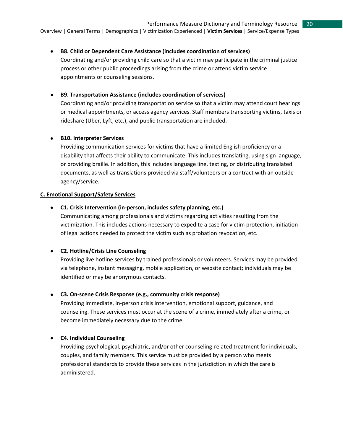#### • **B8. Child or Dependent Care Assistance (includes coordination of services)**

Coordinating and/or providing child care so that a victim may participate in the criminal justice process or other public proceedings arising from the crime or attend victim service appointments or counseling sessions.

#### • **B9. Transportation Assistance (includes coordination of services)**

Coordinating and/or providing transportation service so that a victim may attend court hearings or medical appointments, or access agency services. Staff members transporting victims, taxis or rideshare (Uber, Lyft, etc.), and public transportation are included.

#### • **B10. Interpreter Services**

Providing communication services for victims that have a limited English proficiency or a disability that affects their ability to communicate. This includes translating, using sign language, or providing braille. In addition, this includes language line, texting, or distributing translated documents, as well as translations provided via staff/volunteers or a contract with an outside agency/service.

#### **C. Emotional Support/Safety Services**

#### • **C1. Crisis Intervention (in-person, includes safety planning, etc.)**

Communicating among professionals and victims regarding activities resulting from the victimization. This includes actions necessary to expedite a case for victim protection, initiation of legal actions needed to protect the victim such as probation revocation, etc.

# • **C2. Hotline/Crisis Line Counseling**

Providing live hotline services by trained professionals or volunteers. Services may be provided via telephone, instant messaging, mobile application, or website contact; individuals may be identified or may be anonymous contacts.

#### • **C3. On-scene Crisis Response (e.g., community crisis response)**

Providing immediate, in-person crisis intervention, emotional support, guidance, and counseling. These services must occur at the scene of a crime, immediately after a crime, or become immediately necessary due to the crime.

# • **C4. Individual Counseling**

Providing psychological, psychiatric, and/or other counseling-related treatment for individuals, couples, and family members. This service must be provided by a person who meets professional standards to provide these services in the jurisdiction in which the care is administered.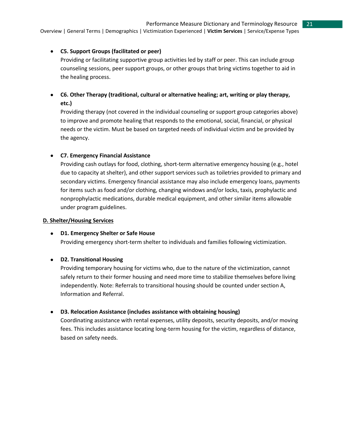21

Overview | General Terms | Demographics | Victimization Experienced | **Victim Services** | Service/Expense Types

# • **C5. Support Groups (facilitated or peer)**

Providing or facilitating supportive group activities led by staff or peer. This can include group counseling sessions, peer support groups, or other groups that bring victims together to aid in the healing process.

• **C6. Other Therapy (traditional, cultural or alternative healing; art, writing or play therapy, etc.)** 

Providing therapy (not covered in the individual counseling or support group categories above) to improve and promote healing that responds to the emotional, social, financial, or physical needs or the victim. Must be based on targeted needs of individual victim and be provided by the agency.

# • **C7. Emergency Financial Assistance**

Providing cash outlays for food, clothing, short-term alternative emergency housing (e.g., hotel due to capacity at shelter), and other support services such as toiletries provided to primary and secondary victims. Emergency financial assistance may also include emergency loans, payments for items such as food and/or clothing, changing windows and/or locks, taxis, prophylactic and nonprophylactic medications, durable medical equipment, and other similar items allowable under program guidelines.

# **D. Shelter/Housing Services**

# • **D1. Emergency Shelter or Safe House**

Providing emergency short-term shelter to individuals and families following victimization.

# • **D2. Transitional Housing**

Providing temporary housing for victims who, due to the nature of the victimization, cannot safely return to their former housing and need more time to stabilize themselves before living independently. Note: Referrals to transitional housing should be counted under section A, Information and Referral.

# • **D3. Relocation Assistance (includes assistance with obtaining housing)**

Coordinating assistance with rental expenses, utility deposits, security deposits, and/or moving fees. This includes assistance locating long-term housing for the victim, regardless of distance, based on safety needs.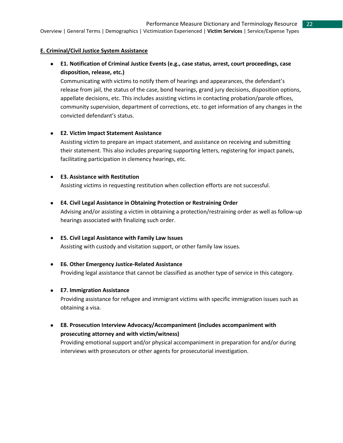# **E. Criminal/Civil Justice System Assistance**

• **E1. Notification of Criminal Justice Events (e.g., case status, arrest, court proceedings, case disposition, release, etc.)**

Communicating with victims to notify them of hearings and appearances, the defendant's release from jail, the status of the case, bond hearings, grand jury decisions, disposition options, appellate decisions, etc. This includes assisting victims in contacting probation/parole offices, community supervision, department of corrections, etc. to get information of any changes in the convicted defendant's status.

# • **E2. Victim Impact Statement Assistance**

Assisting victim to prepare an impact statement, and assistance on receiving and submitting their statement. This also includes preparing supporting letters, registering for impact panels, facilitating participation in clemency hearings, etc.

# • **E3. Assistance with Restitution**

Assisting victims in requesting restitution when collection efforts are not successful.

- **E4. Civil Legal Assistance in Obtaining Protection or Restraining Order** Advising and/or assisting a victim in obtaining a protection/restraining order as well as follow-up hearings associated with finalizing such order.
- **E5. Civil Legal Assistance with Family Law Issues** Assisting with custody and visitation support, or other family law issues.
- **E6. Other Emergency Justice-Related Assistance** Providing legal assistance that cannot be classified as another type of service in this category.
- **E7. Immigration Assistance**

Providing assistance for refugee and immigrant victims with specific immigration issues such as obtaining a visa.

• **E8. Prosecution Interview Advocacy/Accompaniment (includes accompaniment with prosecuting attorney and with victim/witness)** Providing emotional support and/or physical accompaniment in preparation for and/or during interviews with prosecutors or other agents for prosecutorial investigation.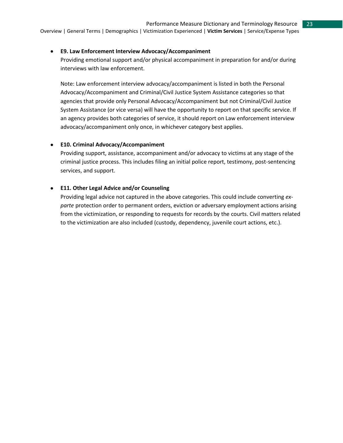#### • **E9. Law Enforcement Interview Advocacy/Accompaniment**

Providing emotional support and/or physical accompaniment in preparation for and/or during interviews with law enforcement.

Note: Law enforcement interview advocacy/accompaniment is listed in both the Personal Advocacy/Accompaniment and Criminal/Civil Justice System Assistance categories so that agencies that provide only Personal Advocacy/Accompaniment but not Criminal/Civil Justice System Assistance (or vice versa) will have the opportunity to report on that specific service. If an agency provides both categories of service, it should report on Law enforcement interview advocacy/accompaniment only once, in whichever category best applies.

#### • **E10. Criminal Advocacy/Accompaniment**

Providing support, assistance, accompaniment and/or advocacy to victims at any stage of the criminal justice process. This includes filing an initial police report, testimony, post-sentencing services, and support.

# • **E11. Other Legal Advice and/or Counseling**

Providing legal advice not captured in the above categories. This could include converting *exparte* protection order to permanent orders, eviction or adversary employment actions arising from the victimization, or responding to requests for records by the courts. Civil matters related to the victimization are also included (custody, dependency, juvenile court actions, etc.).